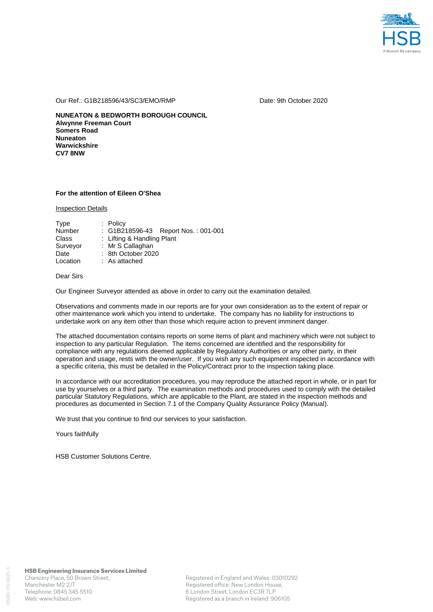

Our Ref.: G1B218596/43/SC3/EMO/RMP Date: 9th October 2020

**NUNEATON & BEDWORTH BOROUGH COUNCIL Alwynne Freeman Court Somers Road Nuneaton Warwickshire CV7 8NW** 

## **For the attention of Eileen O'Shea**

Inspection Details

| Type          | $:$ Policy                          |
|---------------|-------------------------------------|
| <b>Number</b> | : G1B218596-43 Report Nos.: 001-001 |
| Class         | : Lifting & Handling Plant          |
| Surveyor      | : Mr S Callaghan                    |
| Date          | : 8th October 2020                  |
| Location      | : As attached                       |

## Dear Sirs

Our Engineer Surveyor attended as above in order to carry out the examination detailed.

Observations and comments made in our reports are for your own consideration as to the extent of repair or other maintenance work which you intend to undertake. The company has no liability for instructions to undertake work on any item other than those which require action to prevent imminent danger.

The attached documentation contains reports on some items of plant and machinery which were not subject to inspection to any particular Regulation. The items concerned are identified and the responsibility for compliance with any regulations deemed applicable by Regulatory Authorities or any other party, in their operation and usage, rests with the owner/user. If you wish any such equipment inspected in accordance with a specific criteria, this must be detailed in the Policy/Contract prior to the inspection taking place.

In accordance with our accreditation procedures, you may reproduce the attached report in whole, or in part for use by yourselves or a third party. The examination methods and procedures used to comply with the detailed particular Statutory Regulations, which are applicable to the Plant, are stated in the inspection methods and procedures as documented in Section 7.1 of the Company Quality Assurance Policy (Manual).

We trust that you continue to find our services to your satisfaction.

Yours faithfully

HSB Customer Solutions Centre.

HSBEI-115-0620-3

ISBEI-115-0620-3

Registered in England and Wales: 03010292 Registered office: New London House, 6 London Street, London EC3R 7LP Registered as a branch in Ireland: 906105